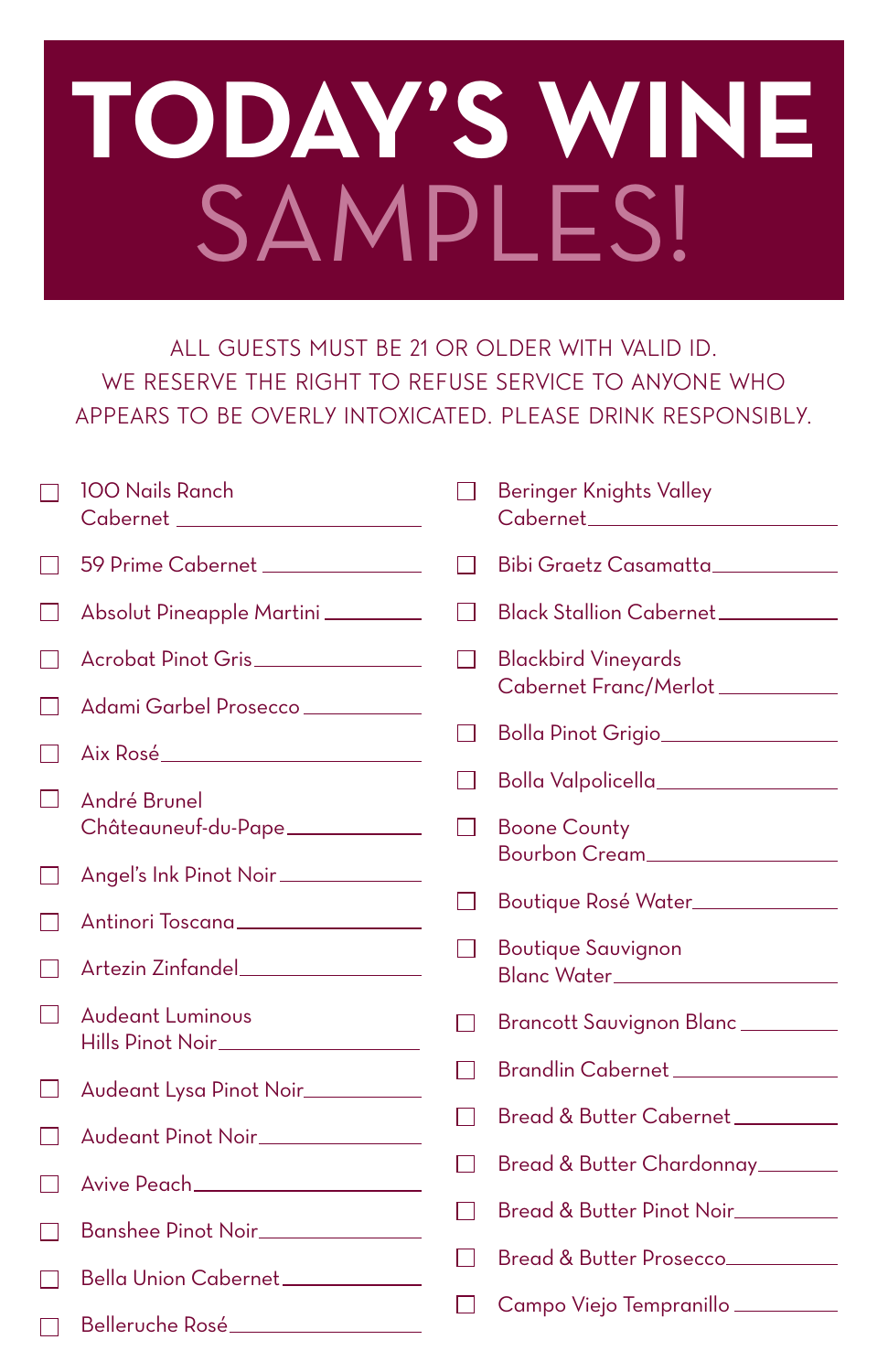## **TODAY'S WINE**  SAMPLES!

ALL GUESTS MUST BE 21 OR OLDER WITH VALID ID. WE RESERVE THE RIGHT TO REFUSE SERVICE TO ANYONE WHO APPEARS TO BE OVERLY INTOXICATED. PLEASE DRINK RESPONSIBLY.

| <b>100 Nails Ranch</b><br>Cabernet _______________________ |              | <b>Beringer Knights Valley</b>                                   |
|------------------------------------------------------------|--------------|------------------------------------------------------------------|
| 59 Prime Cabernet ______________                           |              | Bibi Graetz Casamatta___________                                 |
| Absolut Pineapple Martini                                  | $\mathsf{L}$ | Black Stallion Cabernet                                          |
| Acrobat Pinot Gris                                         |              | <b>Blackbird Vineyards</b>                                       |
| Adami Garbel Prosecco ____________                         |              | Cabernet Franc/Merlot__________                                  |
|                                                            |              | Bolla Pinot Grigio                                               |
| André Brunel                                               |              | Bolla Valpolicella_________________                              |
| Châteauneuf-du-Pape____________                            | $\mathbf{L}$ | <b>Boone County</b>                                              |
| Angel's Ink Pinot Noir_____________                        |              | Bourbon Cream                                                    |
| Antinori Toscana_________________                          | $\mathsf{L}$ | Boutique Rosé Water______________                                |
| Artezin Zinfandel__________________                        |              | <b>Boutique Sauvignon</b><br>Blanc Water________________________ |
| <b>Audeant Luminous</b><br>Hills Pinot Noir______________  |              | Brancott Sauvignon Blanc                                         |
|                                                            |              | Brandlin Cabernet _______________                                |
| Audeant Lysa Pinot Noir________                            | I I          | Bread & Butter Cabernet_________                                 |
| Audeant Pinot Noir_____________                            |              |                                                                  |
| Avive Peach_____________________                           | $\mathsf{L}$ | Bread & Butter Chardonnay_______                                 |
| Banshee Pinot Noir_____________                            | H            | Bread & Butter Pinot Noir_________                               |
|                                                            |              | Bread & Butter Prosecco                                          |
| Bella Union Cabernet                                       |              | Campo Viejo Tempranillo                                          |
| Belleruche Rosé                                            |              |                                                                  |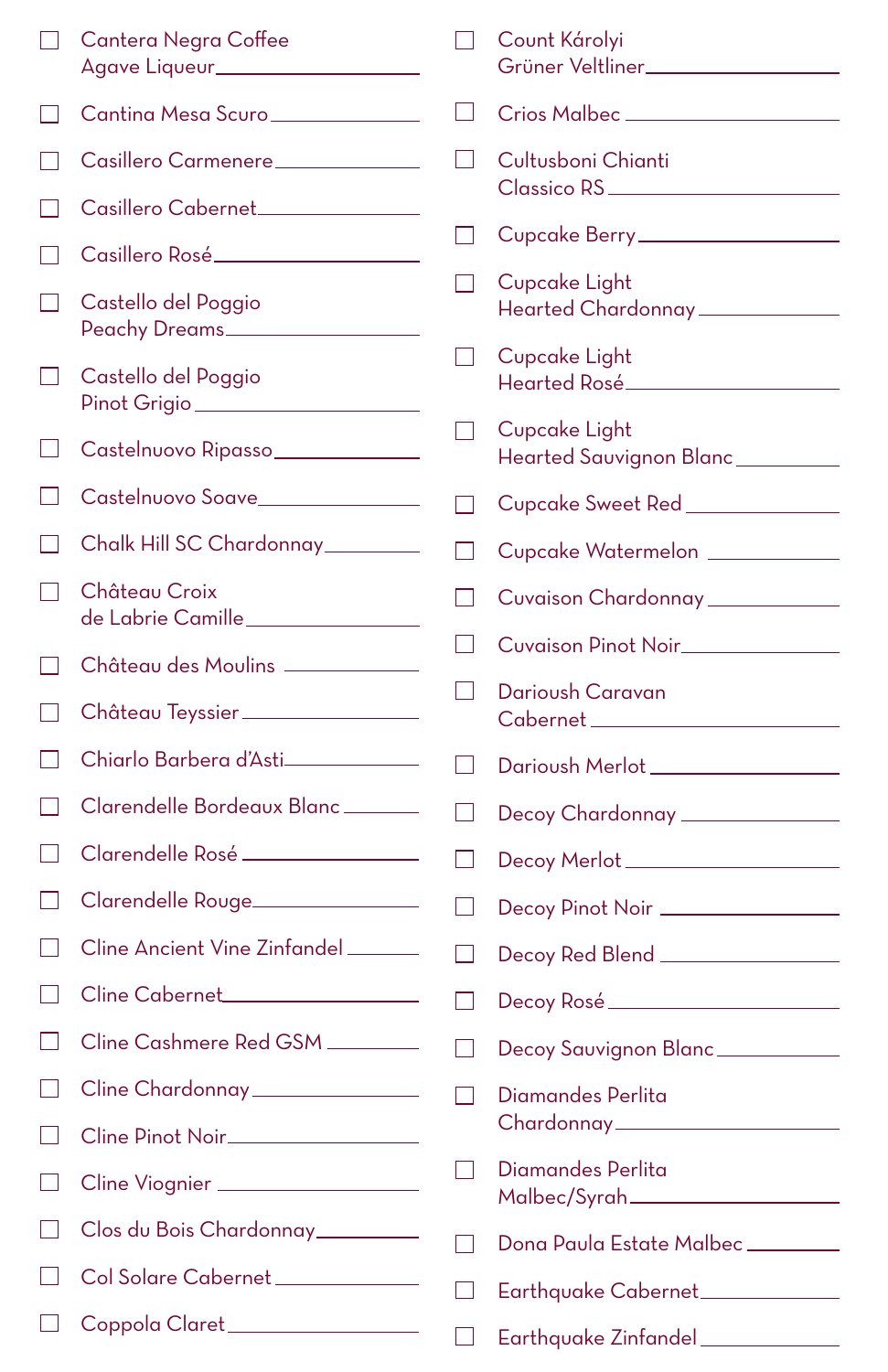|              | Cantera Negra Coffee<br>Agave Liqueur_____________________ |                          | Count Károlyi<br>Grüner Veltliner____________________  |
|--------------|------------------------------------------------------------|--------------------------|--------------------------------------------------------|
|              | Cantina Mesa Scuro                                         | - 1                      | Crios Malbec _____________________                     |
|              | Casillero Carmenere                                        | $\blacksquare$           | Cultusboni Chianti                                     |
|              | Casillero Cabernet_______________                          | - 1                      | Cupcake Berry___________________                       |
|              | Casillero Rosé___________________                          |                          | Cupcake Light                                          |
|              | Castello del Poggio<br>Peachy Dreams                       |                          | Hearted Chardonnay ____________                        |
|              | Castello del Poggio<br>Pinot Grigio                        | $\blacksquare$           | Cupcake Light<br>Hearted Rosé_____________________     |
|              | Castelnuovo Ripasso______________                          | $\overline{\phantom{a}}$ | Cupcake Light<br>Hearted Sauvignon Blanc _________     |
|              | Castelnuovo Soave_______________                           | - 1                      | Cupcake Sweet Red ______________                       |
|              | Chalk Hill SC Chardonnay________                           |                          | Cupcake Watermelon                                     |
|              | Château Croix<br>de Labrie Camille_________________        | $\mathsf{L}$             | Cuvaison Chardonnay _____________                      |
|              | Château des Moulins _________                              | $\blacksquare$           | Cuvaison Pinot Noir______________                      |
|              | Château Teyssier                                           | $\mathbf{I}$             | Darioush Caravan<br>Cabernet _______________________   |
|              | Chiarlo Barbera d'Asti_____________                        | $\mathbf{1}$             | Darioush Merlot _________________                      |
|              | Clarendelle Bordeaux Blanc______                           | $\mathbf{1}$             | Decoy Chardonnay _______________                       |
|              | Clarendelle Rosé                                           | $\blacksquare$           | Decoy Merlot ____________________                      |
|              | Clarendelle Rouge                                          | $\mathbf{I}$             | Decoy Pinot Noir ________________                      |
|              | Cline Ancient Vine Zinfandel                               | $\mathbf{I}$             | Decoy Red Blend _________________                      |
|              | Cline Cabernet                                             |                          | Decoy Rosé ________________________                    |
|              | Cline Cashmere Red GSM                                     |                          | Decoy Sauvignon Blanc                                  |
| $\mathsf{L}$ | Cline Chardonnay _______________                           | $\blacksquare$           | Diamandes Perlita                                      |
| $\mathsf{L}$ | Cline Pinot Noir_________________                          |                          | Chardonnay ______________________                      |
|              | Cline Viognier                                             |                          | Diamandes Perlita<br>Malbec/Syrah_____________________ |
|              | Clos du Bois Chardonnay                                    | - 1                      | Dona Paula Estate Malbec________                       |
|              | Col Solare Cabernet _____________                          | $\mathsf{L}$             | Earthquake Cabernet_____________                       |
|              | Coppola Claret_________________                            |                          | Earthquake Zinfandel _____________                     |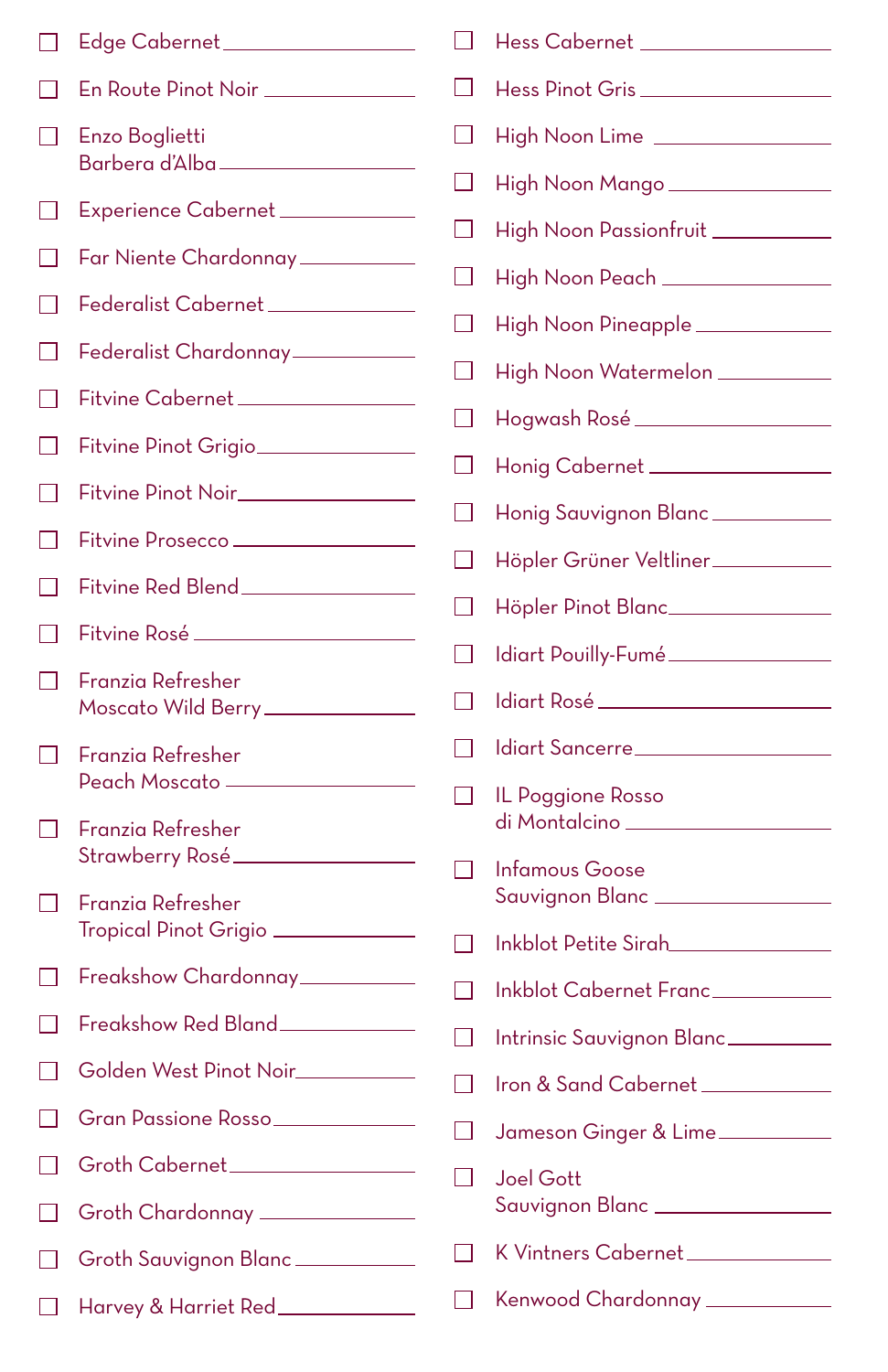|              | Edge Cabernet __________________           |              | Hess Cabernet __________________                       |
|--------------|--------------------------------------------|--------------|--------------------------------------------------------|
|              | En Route Pinot Noir _____________          |              | Hess Pinot Gris                                        |
|              | Enzo Boglietti                             |              | High Noon Lime                                         |
|              | Barbera d'Alba_______________              |              | High Noon Mango _________________                      |
|              | Experience Cabernet                        | $\mathsf{L}$ | High Noon Passionfruit                                 |
|              | Far Niente Chardonnay ___________          | $\mathsf{L}$ | High Noon Peach                                        |
|              | Federalist Cabernet_____________           | $\mathsf{L}$ | High Noon Pineapple _____________                      |
|              | Federalist Chardonnay__________            | $\mathsf{L}$ | High Noon Watermelon                                   |
|              | Fitvine Cabernet _______________           | $\mathsf{L}$ |                                                        |
|              | Fitvine Pinot Grigio_______________        | $\mathsf{L}$ | Honig Cabernet                                         |
|              | Fitvine Pinot Noir_________________        | $\mathsf{L}$ | Honig Sauvignon Blanc ____________                     |
|              | Fitvine Prosecco                           | $\mathsf{L}$ | Höpler Grüner Veltliner___________                     |
|              | Fitvine Red Blend ________________         |              | Höpler Pinot Blanc________________                     |
|              | Fitvine Rosé _____________________         |              | Idiart Pouilly-Fumé                                    |
|              | Franzia Refresher                          |              |                                                        |
|              |                                            |              |                                                        |
|              | Moscato Wild Berry______________           |              | Idiart Sancerre                                        |
|              | Franzia Refresher<br>Peach Moscato ——————  |              |                                                        |
|              | Franzia Refresher                          |              | IL Poggione Rosso<br>di Montalcino ______________      |
|              | Strawberry Rosé                            | $\mathsf{L}$ | <b>Infamous Goose</b>                                  |
| $\mathsf{L}$ | Franzia Refresher<br>Tropical Pinot Grigio |              | Sauvignon Blanc ___________________                    |
|              | Freakshow Chardonnay________               | $\mathsf{L}$ | Inkblot Petite Sirah                                   |
|              | Freakshow Red Bland                        | $\mathsf{L}$ | Inkblot Cabernet Franc                                 |
|              | Golden West Pinot Noir__________           |              | Intrinsic Sauvignon Blanc                              |
|              | Gran Passione Rosso                        | $\mathsf{L}$ | Iron & Sand Cabernet                                   |
| H            | Groth Cabernet__________________           | $\mathsf{L}$ | Jameson Ginger & Lime                                  |
|              | Groth Chardonnay ______________            | $\mathsf{L}$ | <b>Joel Gott</b><br>Sauvignon Blanc __________________ |
| $\mathsf{L}$ | Groth Sauvignon Blanc                      |              | K Vintners Cabernet_____________                       |
|              | Harvey & Harriet Red____________           | $\mathsf{L}$ | Kenwood Chardonnay ____________                        |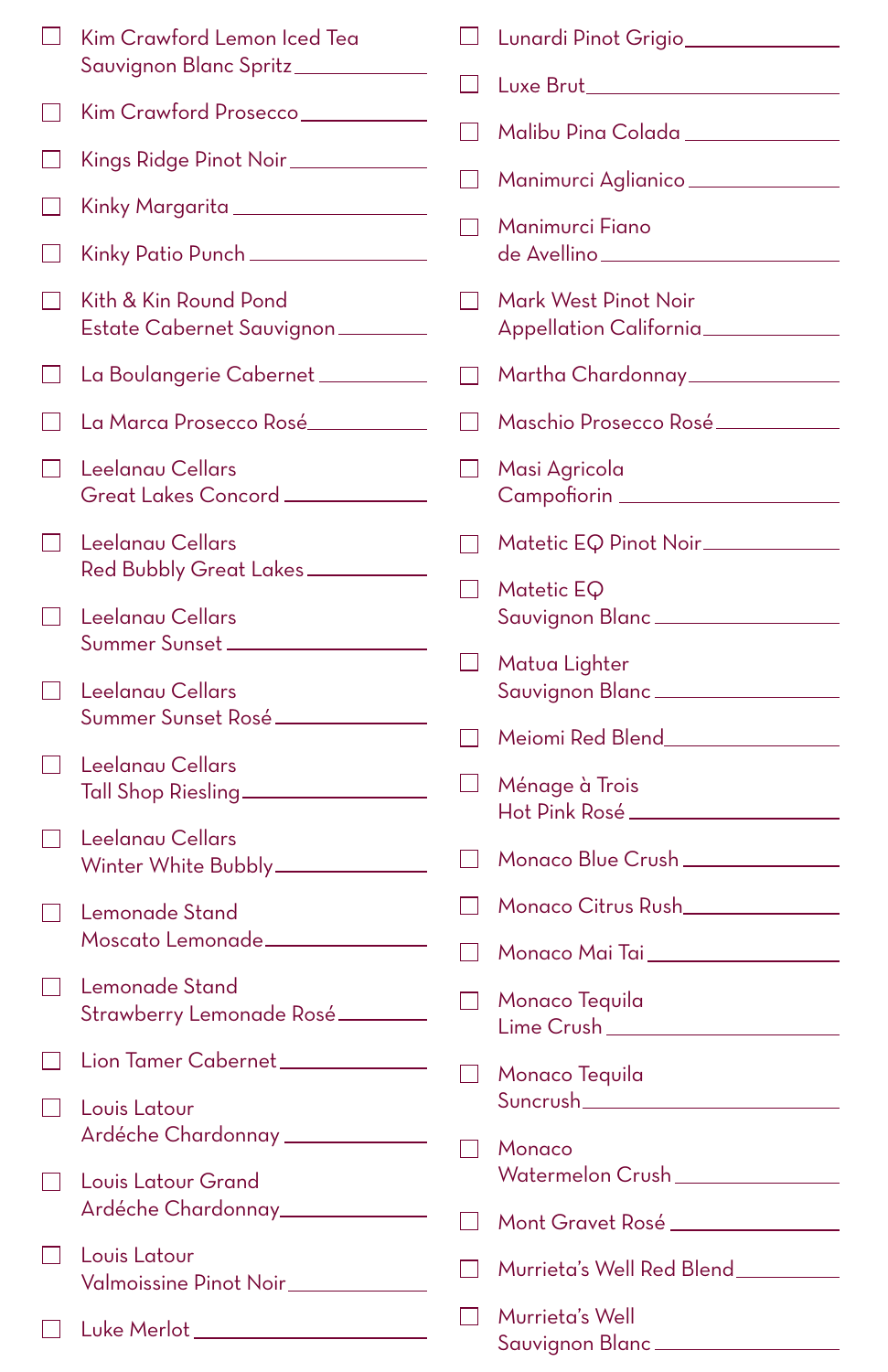|                | Kim Crawford Lemon Iced Tea                |              | Lunardi Pinot Grigio                                                                    |
|----------------|--------------------------------------------|--------------|-----------------------------------------------------------------------------------------|
|                | Sauvignon Blanc Spritz____________         | $\mathsf{L}$ | Luxe Brut___________________________                                                    |
| $\mathcal{L}$  | Kim Crawford Prosecco___________           | H            | Malibu Pina Colada ______________                                                       |
|                | Kings Ridge Pinot Noir____________         | $\mathsf{L}$ | Manimurci Aglianico______________                                                       |
|                | Kinky Margarita _________________          |              |                                                                                         |
|                | Kinky Patio Punch ________________         |              | Manimurci Fiano<br>de Avellino ________________________                                 |
| $\mathcal{L}$  | Kith & Kin Round Pond                      | $\mathsf{L}$ | Mark West Pinot Noir<br>Appellation California                                          |
|                | Estate Cabernet Sauvignon                  |              |                                                                                         |
| $\mathsf{L}$   | La Boulangerie Cabernet                    |              | Martha Chardonnay______________                                                         |
| $\mathcal{L}$  | La Marca Prosecco Rosé___________          | LΙ           | Maschio Prosecco Rosé                                                                   |
| $\mathcal{L}$  | Leelanau Cellars                           | $\mathsf{L}$ | Masi Agricola                                                                           |
|                | Great Lakes Concord ____________           |              | Campofiorin                                                                             |
| $\mathsf{L}$   | Leelanau Cellars<br>Red Bubbly Great Lakes | $\mathsf{L}$ | Matetic EQ Pinot Noir____________                                                       |
|                |                                            |              | Matetic EQ                                                                              |
| $\mathsf{L}$   | Leelanau Cellars                           |              | Sauvignon Blanc __________________                                                      |
|                | Summer Sunset                              | $\mathsf{L}$ | Matua Lighter                                                                           |
| $\mathsf{L}$   | Leelanau Cellars                           |              | Sauvignon Blanc                                                                         |
|                | Summer Sunset Rosé                         | $\mathsf{L}$ | Meiomi Red Blend   Meiomi ed Blend   Meiomi -                                           |
| $\blacksquare$ | Leelanau Cellars                           |              |                                                                                         |
|                | Tall Shop Riesling                         | $\mathsf{L}$ | Ménage à Trois<br>Hot Pink Rosé ____________________                                    |
| $\mathsf{L}$   | Leelanau Cellars                           |              |                                                                                         |
|                | Winter White Bubbly____________            | $\mathsf{L}$ | Monaco Blue Crush ______________                                                        |
| $\mathsf{L}$   | Lemonade Stand                             | $\Box$       | Monaco Citrus Rush <b>Monaco</b>                                                        |
|                | Moscato Lemonade                           |              | Monaco Mai Tai Martin Alexandria (m. 1876).<br>1990 - Canada Santo Antonio I (m. 1876). |
|                | Lemonade Stand                             |              | Monaco Tequila                                                                          |
|                | Strawberry Lemonade Rosé                   |              | Lime Crush___                                                                           |
|                | Lion Tamer Cabernet                        |              | Monaco Tequila                                                                          |
|                | Louis Latour                               |              | Suncrush___________________________                                                     |
|                | Ardéche Chardonnay __________              | $\mathsf{L}$ | Monaco                                                                                  |
| $\mathsf{L}$   | Louis Latour Grand                         |              | Watermelon Crush_______________                                                         |
|                | Ardéche Chardonnay____________             | H            | Mont Gravet Rosé _______________                                                        |
| $\mathsf{L}$   | Louis Latour                               |              |                                                                                         |
|                | Valmoissine Pinot Noir____________         | H            | Murrieta's Well Red Blend_________                                                      |
|                | Luke Merlot ______________________         |              | Murrieta's Well                                                                         |
|                |                                            |              | Sauvignon Blanc                                                                         |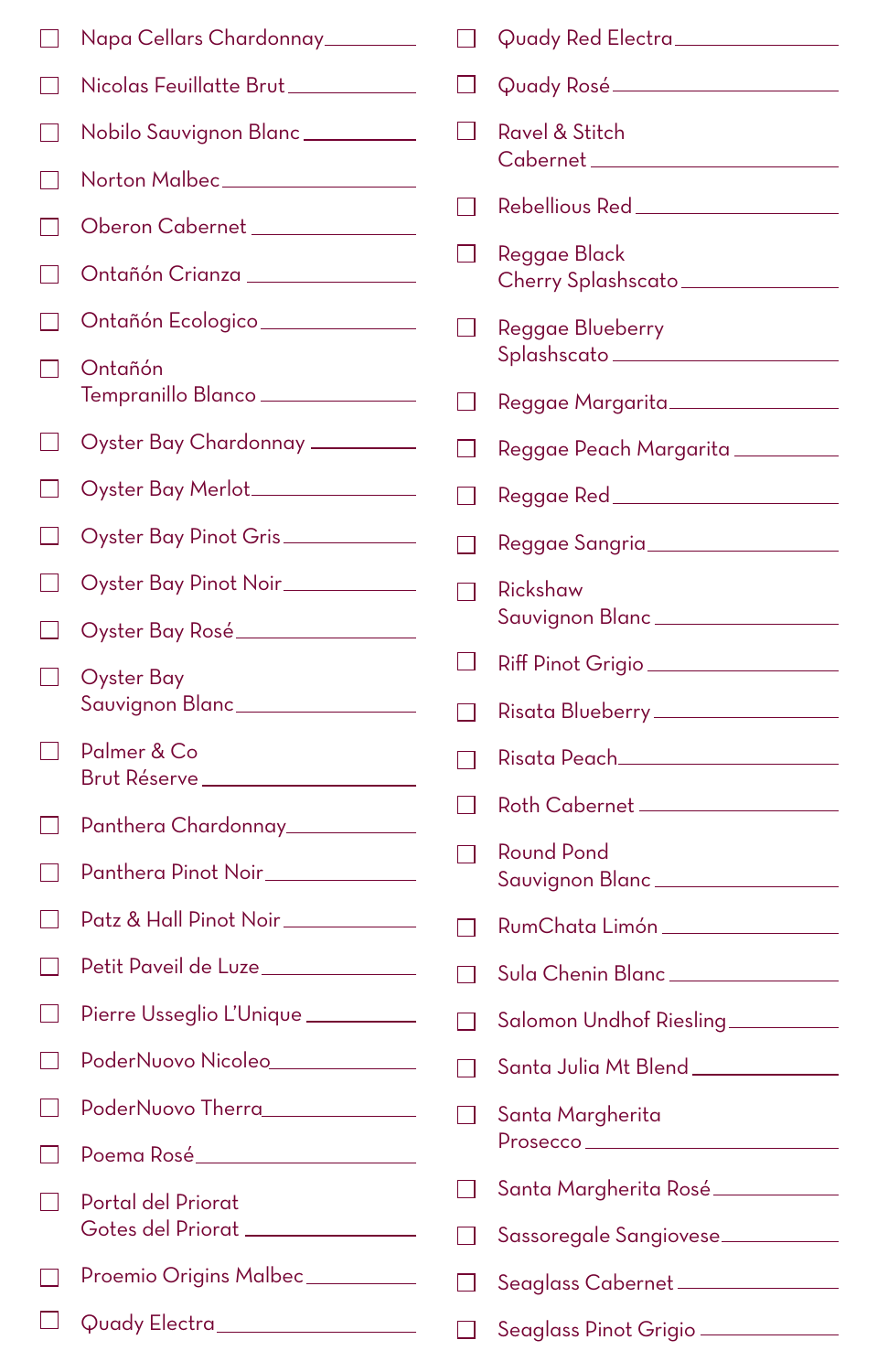|                          | Napa Cellars Chardonnay________                   |                   | Quady Red Electra_________________   |
|--------------------------|---------------------------------------------------|-------------------|--------------------------------------|
|                          | Nicolas Feuillatte Brut___________                |                   |                                      |
|                          | Nobilo Sauvignon Blanc                            | $\blacksquare$    | Ravel & Stitch                       |
| $\vert \ \ \vert$        | Norton Malbec__________________                   |                   | Cabernet ____________________        |
| $\overline{\phantom{0}}$ | Oberon Cabernet ______________                    |                   |                                      |
| $\blacksquare$           | Ontañón Crianza _______________                   |                   | Reggae Black                         |
| $\blacksquare$           | Ontañón Ecologico______________                   | $\blacksquare$    |                                      |
|                          |                                                   |                   | Reggae Blueberry                     |
| $\blacksquare$           | Ontañón<br>Tempranillo Blanco _______________     | $\vert \ \ \vert$ | Reggae Margarita_________________    |
|                          | Oyster Bay Chardonnay _________                   | $\mathsf{L}$      | Reggae Peach Margarita __________    |
|                          | Oyster Bay Merlot________________                 | ×.                |                                      |
| $\blacksquare$           | Oyster Bay Pinot Gris                             | H                 | Reggae Sangria___________________    |
| $\mathsf{L}$             | Oyster Bay Pinot Noir____________                 | $\Box$            | Rickshaw                             |
|                          | Oyster Bay Rosé                                   |                   | Sauvignon Blanc ____________________ |
| $\blacksquare$           | <b>Oyster Bay</b>                                 | $\perp$           | Riff Pinot Grigio                    |
|                          | Sauvignon Blanc_________________                  |                   |                                      |
| $\blacksquare$           | Palmer & Co<br>Brut Réserve _____________________ |                   | Risata Peach_______________________  |
| l 1                      | Panthera Chardonnay_____________                  | H                 |                                      |
|                          |                                                   |                   | <b>Round Pond</b>                    |
|                          | Panthera Pinot Noir_____________                  |                   | Sauvignon Blanc ____________________ |
|                          | Patz & Hall Pinot Noir___________                 | П                 | RumChata Limón _________________     |
|                          | Petit Paveil de Luze______________                | H                 | Sula Chenin Blanc ________________   |
| $\blacksquare$           | Pierre Usseglio L'Unique __________               | П                 | Salomon Undhof Riesling              |
|                          | PoderNuovo Nicoleo                                | $\mathsf{L}$      | Santa Julia Mt Blend _____________   |
|                          | PoderNuovo Therra                                 | $\mathsf{L}$      | Santa Margherita                     |
|                          | Poema Rosé________________________                |                   | Prosecco__________                   |
|                          | Portal del Priorat                                | $\mathsf{I}$      | Santa Margherita Rosé ____________   |
|                          | Gotes del Priorat ________________                |                   | Sassoregale Sangiovese____________   |
|                          | Proemio Origins Malbec__________                  |                   | Seaglass Cabernet                    |
|                          | Quady Electra_____________________                |                   | Seaglass Pinot Grigio                |
|                          |                                                   |                   |                                      |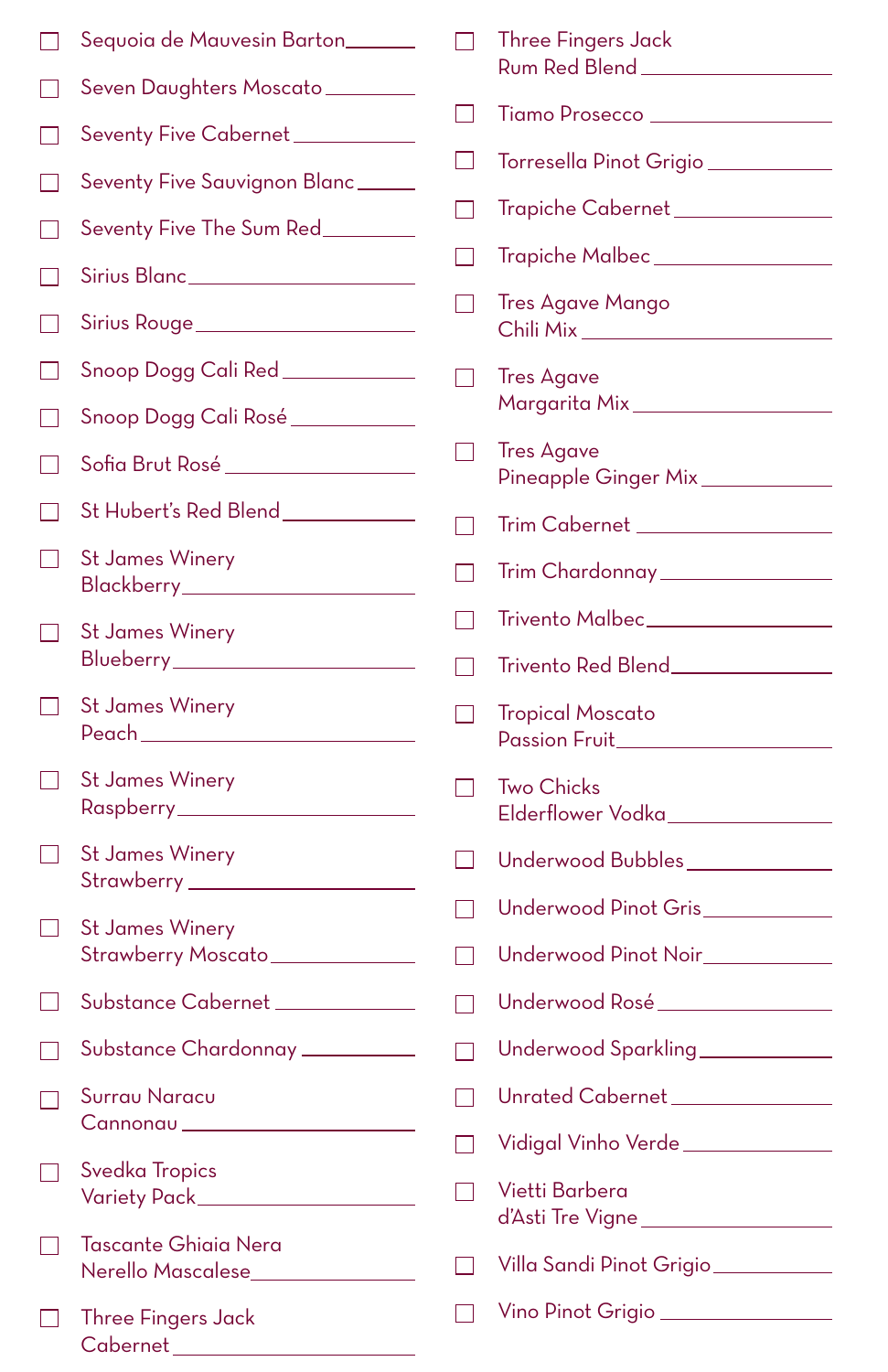|                | Sequoia de Mauvesin Barton                                    |                   | <b>Three Fingers Jack</b><br>Rum Red Blend _____________       |
|----------------|---------------------------------------------------------------|-------------------|----------------------------------------------------------------|
|                | Seven Daughters Moscato_________                              | $\vert \ \ \vert$ | Tiamo Prosecco _________________                               |
|                | Seventy Five Cabernet___________                              |                   |                                                                |
|                | Seventy Five Sauvignon Blanc                                  | $\mathsf{L}$      | Torresella Pinot Grigio                                        |
|                | Seventy Five The Sum Red                                      |                   | Trapiche Cabernet ______________                               |
|                | Sirius Blanc _____________________                            |                   | Trapiche Malbec _________________                              |
|                | Sirius Rouge______________________                            |                   | <b>Tres Agave Mango</b><br>Chili Mix _________________________ |
|                | Snoop Dogg Cali Red ____________                              |                   | <b>Tres Agave</b>                                              |
|                | Snoop Dogg Cali Rosé___________                               |                   | Margarita Mix ___________________                              |
|                | Sofia Brut Rosé _________________                             | $\blacksquare$    | <b>Tres Agave</b><br>Pineapple Ginger Mix___________           |
| $\blacksquare$ | St Hubert's Red Blend___________                              |                   | Trim Cabernet __________________                               |
| $\mathsf{L}$   | <b>St James Winery</b><br>Blackberry________________________  |                   | Trim Chardonnay ________________                               |
| $\mathsf{L}$   | <b>St James Winery</b>                                        |                   | Trivento Malbec_________________                               |
|                | Blueberry_______________________                              |                   |                                                                |
| $\perp$        | <b>St James Winery</b><br>Peach___________________________    |                   | <b>Tropical Moscato</b>                                        |
| $\blacksquare$ | <b>St James Winery</b><br>Raspberry________________________   | $\mathsf{L}$      | <b>Two Chicks</b><br>Elderflower Vodka_______________          |
| $\blacksquare$ | <b>St James Winery</b>                                        | $\mathsf{L}$      | Underwood Bubbles_____________                                 |
| - 1            | <b>St James Winery</b>                                        |                   | Underwood Pinot Gris___________                                |
|                | Strawberry Moscato______________                              |                   | Underwood Pinot Noir__________                                 |
|                | Substance Cabernet ___________                                |                   | Underwood Rosé_________________                                |
|                | Substance Chardonnay _________                                |                   | Underwood Sparkling____________                                |
| $\mathbf{L}$   | Surrau Naracu                                                 |                   | Unrated Cabernet ______________                                |
|                | Cannonau _____________________                                |                   | Vidigal Vinho Verde _____________                              |
|                | <b>Svedka Tropics</b>                                         |                   | Vietti Barbera<br>d'Asti Tre Vigne __________________          |
|                | Tascante Ghiaia Nera<br>Nerello Mascalese________________     |                   | Villa Sandi Pinot Grigio                                       |
|                | <b>Three Fingers Jack</b><br>Cabernet _______________________ |                   | Vino Pinot Grigio                                              |
|                |                                                               |                   |                                                                |